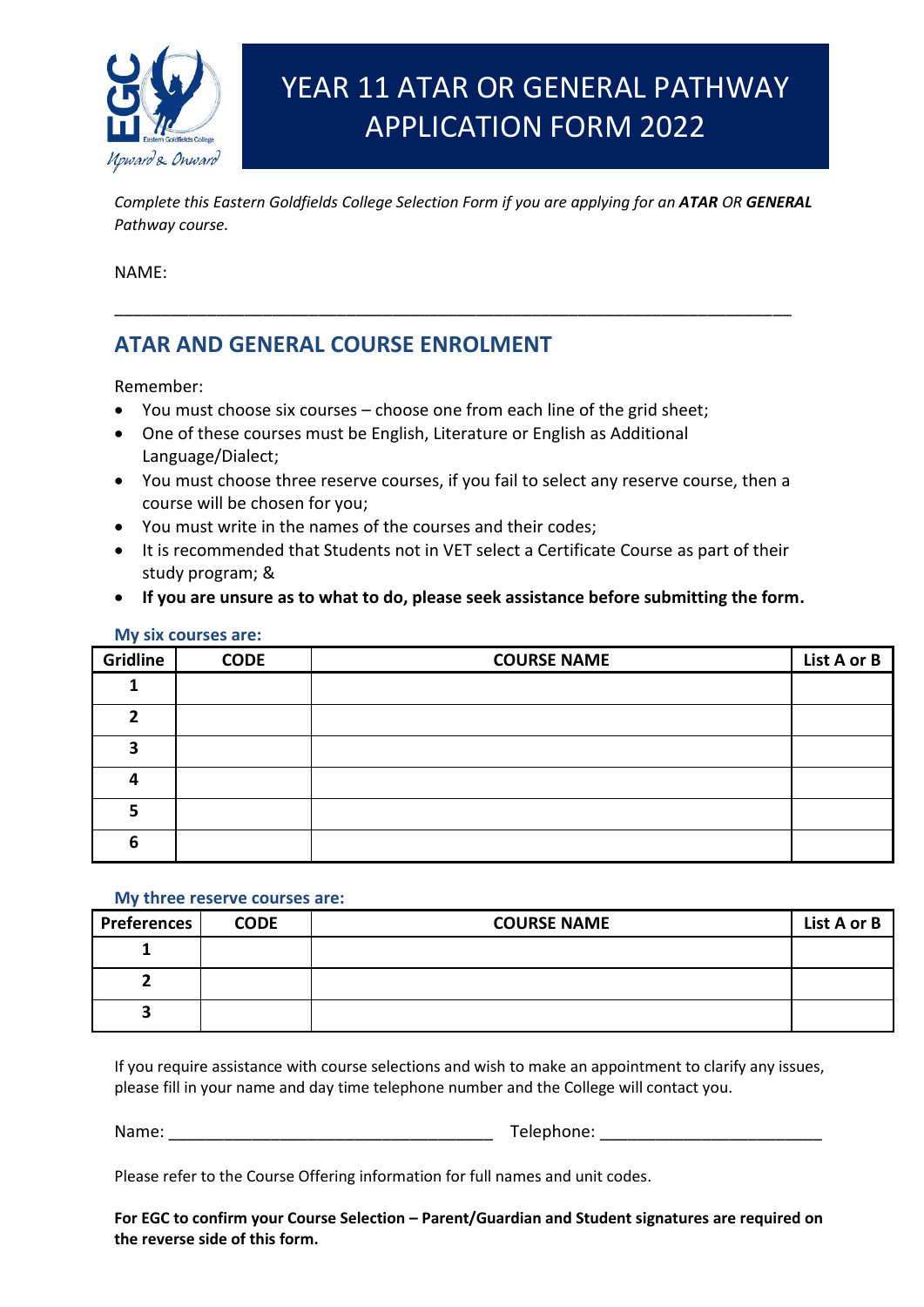

# YEAR 11 ATAR OR GENERAL PATHWAY APPLICATION FORM 2022

*Complete this Eastern Goldfields College Selection Form if you are applying for an ATAR OR GENERAL Pathway course.*

\_\_\_\_\_\_\_\_\_\_\_\_\_\_\_\_\_\_\_\_\_\_\_\_\_\_\_\_\_\_\_\_\_\_\_\_\_\_\_\_\_\_\_\_\_\_\_\_\_\_\_\_\_\_\_\_\_\_\_\_\_\_\_\_\_\_\_\_\_\_\_\_\_

NAME:

# **ATAR AND GENERAL COURSE ENROLMENT**

Remember:

- You must choose six courses choose one from each line of the grid sheet;
- One of these courses must be English, Literature or English as Additional Language/Dialect;
- You must choose three reserve courses, if you fail to select any reserve course, then a course will be chosen for you;
- You must write in the names of the courses and their codes;
- It is recommended that Students not in VET select a Certificate Course as part of their study program; &
- **If you are unsure as to what to do, please seek assistance before submitting the form.**

| <b>Gridline</b> | <b>CODE</b> | <b>COURSE NAME</b> | List A or B |
|-----------------|-------------|--------------------|-------------|
|                 |             |                    |             |
|                 |             |                    |             |
| э               |             |                    |             |
|                 |             |                    |             |
| 5               |             |                    |             |
| 6               |             |                    |             |

#### **My six courses are:**

#### **My three reserve courses are:**

| <b>Preferences</b> | <b>CODE</b> | <b>COURSE NAME</b> | List A or B |
|--------------------|-------------|--------------------|-------------|
|                    |             |                    |             |
|                    |             |                    |             |
|                    |             |                    |             |

If you require assistance with course selections and wish to make an appointment to clarify any issues, please fill in your name and day time telephone number and the College will contact you.

Name: Telephone:

Please refer to the Course Offering information for full names and unit codes.

**For EGC to confirm your Course Selection – Parent/Guardian and Student signatures are required on the reverse side of this form.**